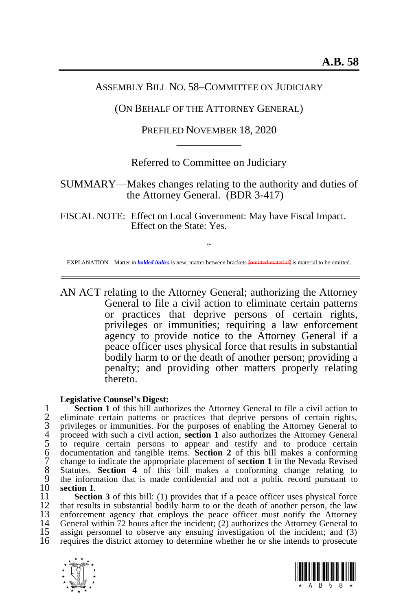## ASSEMBLY BILL NO. 58–COMMITTEE ON JUDICIARY

### (ON BEHALF OF THE ATTORNEY GENERAL)

PREFILED NOVEMBER 18, 2020 \_\_\_\_\_\_\_\_\_\_\_\_

# Referred to Committee on Judiciary

## SUMMARY—Makes changes relating to the authority and duties of the Attorney General. (BDR 3-417)

FISCAL NOTE: Effect on Local Government: May have Fiscal Impact. Effect on the State: Yes.

~ EXPLANATION – Matter in *bolded italics* is new; matter between brackets **[**omitted material**]** is material to be omitted.

AN ACT relating to the Attorney General; authorizing the Attorney General to file a civil action to eliminate certain patterns or practices that deprive persons of certain rights, privileges or immunities; requiring a law enforcement agency to provide notice to the Attorney General if a peace officer uses physical force that results in substantial bodily harm to or the death of another person; providing a penalty; and providing other matters properly relating thereto.

#### **Legislative Counsel's Digest:**

**Section [1](#page-1-0)** of this bill authorizes the Attorney General to file a civil action to eliminate certain patterns or practices that deprive persons of certain rights, privileges or immunities. For the purposes of enabling the eliminate certain patterns or practices that deprive persons of certain rights, privileges or immunities. For the purposes of enabling the Attorney General to proceed with such a civil action, **section [1](#page-1-0)** also authorizes the Attorney General 5 to require certain persons to appear and testify and to produce certain 6 documentation and tangible items. **Section [2](#page-2-0)** of this bill makes a conforming 7 change to indicate the appropriate placement of **section [1](#page-1-0)** in the Nevada Revised 8 Statutes. **Section [4](#page-3-0)** of this bill makes a conforming change relating to 9 the information that is made confidential and not a public record pursuant to section 1. 10 **sectio[n 1](#page-1-0)**.

11 **Section** [3](#page-3-1) of this bill: (1) provides that if a peace officer uses physical force that results in substantial bodily harm to or the death of another person, the law 12 that results in substantial bodily harm to or the death of another person, the law<br>13 enforcement agency that employs the peace officer must notify the Attorney 13 enforcement agency that employs the peace officer must notify the Attorney<br>14 General within 72 hours after the incident: (2) authorizes the Attorney General to 14 General within 72 hours after the incident; (2) authorizes the Attorney General to 15 assign personnel to observe any ensuing investigation of the incident: and (3) 15 assign personnel to observe any ensuing investigation of the incident; and (3) requires the district attorney to determine whether he or she intends to prosecute 16 requires the district attorney to determine whether he or she intends to prosecute



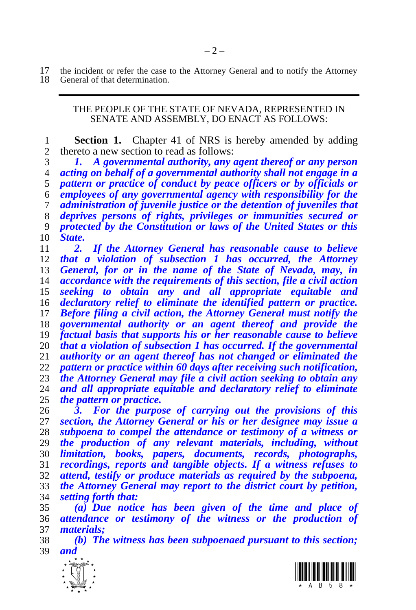17 the incident or refer the case to the Attorney General and to notify the Attorney 18 General of that determination. General of that determination.

#### <span id="page-1-0"></span>THE PEOPLE OF THE STATE OF NEVADA, REPRESENTED IN SENATE AND ASSEMBLY, DO ENACT AS FOLLOWS:

 **Section 1.** Chapter 41 of NRS is hereby amended by adding thereto a new section to read as follows:

 *1. A governmental authority, any agent thereof or any person acting on behalf of a governmental authority shall not engage in a pattern or practice of conduct by peace officers or by officials or employees of any governmental agency with responsibility for the administration of juvenile justice or the detention of juveniles that deprives persons of rights, privileges or immunities secured or protected by the Constitution or laws of the United States or this State.*

 *2. If the Attorney General has reasonable cause to believe that a violation of subsection 1 has occurred, the Attorney General, for or in the name of the State of Nevada, may, in accordance with the requirements of this section, file a civil action seeking to obtain any and all appropriate equitable and declaratory relief to eliminate the identified pattern or practice. Before filing a civil action, the Attorney General must notify the governmental authority or an agent thereof and provide the factual basis that supports his or her reasonable cause to believe that a violation of subsection 1 has occurred. If the governmental authority or an agent thereof has not changed or eliminated the pattern or practice within 60 days after receiving such notification, the Attorney General may file a civil action seeking to obtain any and all appropriate equitable and declaratory relief to eliminate the pattern or practice.*

 *3. For the purpose of carrying out the provisions of this section, the Attorney General or his or her designee may issue a subpoena to compel the attendance or testimony of a witness or the production of any relevant materials, including, without limitation, books, papers, documents, records, photographs, recordings, reports and tangible objects. If a witness refuses to attend, testify or produce materials as required by the subpoena, the Attorney General may report to the district court by petition, setting forth that:*

 *(a) Due notice has been given of the time and place of attendance or testimony of the witness or the production of materials;*

 *(b) The witness has been subpoenaed pursuant to this section; and*



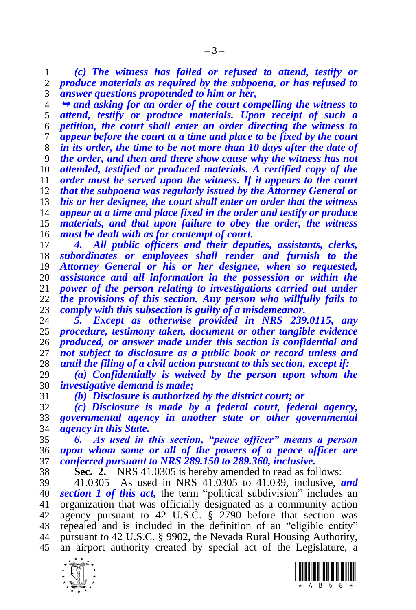*(c) The witness has failed or refused to attend, testify or produce materials as required by the subpoena, or has refused to answer questions propounded to him or her,*

 *and asking for an order of the court compelling the witness to attend, testify or produce materials. Upon receipt of such a petition, the court shall enter an order directing the witness to appear before the court at a time and place to be fixed by the court in its order, the time to be not more than 10 days after the date of the order, and then and there show cause why the witness has not attended, testified or produced materials. A certified copy of the order must be served upon the witness. If it appears to the court that the subpoena was regularly issued by the Attorney General or his or her designee, the court shall enter an order that the witness appear at a time and place fixed in the order and testify or produce materials, and that upon failure to obey the order, the witness must be dealt with as for contempt of court.*

 *4. All public officers and their deputies, assistants, clerks, subordinates or employees shall render and furnish to the Attorney General or his or her designee, when so requested, assistance and all information in the possession or within the power of the person relating to investigations carried out under the provisions of this section. Any person who willfully fails to comply with this subsection is guilty of a misdemeanor.*

 *5. Except as otherwise provided in NRS 239.0115, any procedure, testimony taken, document or other tangible evidence produced, or answer made under this section is confidential and not subject to disclosure as a public book or record unless and until the filing of a civil action pursuant to this section, except if:*

 *(a) Confidentially is waived by the person upon whom the investigative demand is made;*

*(b) Disclosure is authorized by the district court; or*

 *(c) Disclosure is made by a federal court, federal agency, governmental agency in another state or other governmental agency in this State.*

 *6. As used in this section, "peace officer" means a person upon whom some or all of the powers of a peace officer are conferred pursuant to NRS 289.150 to 289.360, inclusive.*

<span id="page-2-0"></span>**Sec. 2.** NRS 41.0305 is hereby amended to read as follows:

 41.0305 As used in NRS 41.0305 to 41.039, inclusive, *and section [1](#page-1-0) of this act,* the term "political subdivision" includes an organization that was officially designated as a community action agency pursuant to 42 U.S.C. § 2790 before that section was repealed and is included in the definition of an "eligible entity" pursuant to 42 U.S.C. § 9902, the Nevada Rural Housing Authority, an airport authority created by special act of the Legislature, a



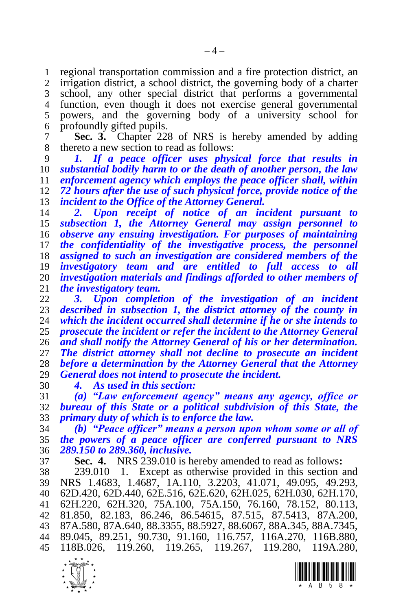regional transportation commission and a fire protection district, an irrigation district, a school district, the governing body of a charter school, any other special district that performs a governmental function, even though it does not exercise general governmental powers, and the governing body of a university school for profoundly gifted pupils.

<span id="page-3-1"></span> **Sec. 3.** Chapter 228 of NRS is hereby amended by adding thereto a new section to read as follows:

 *1. If a peace officer uses physical force that results in substantial bodily harm to or the death of another person, the law enforcement agency which employs the peace officer shall, within 72 hours after the use of such physical force, provide notice of the incident to the Office of the Attorney General.*

 *2. Upon receipt of notice of an incident pursuant to subsection 1, the Attorney General may assign personnel to observe any ensuing investigation. For purposes of maintaining the confidentiality of the investigative process, the personnel assigned to such an investigation are considered members of the investigatory team and are entitled to full access to all investigation materials and findings afforded to other members of the investigatory team.*

 *3. Upon completion of the investigation of an incident described in subsection 1, the district attorney of the county in which the incident occurred shall determine if he or she intends to prosecute the incident or refer the incident to the Attorney General and shall notify the Attorney General of his or her determination. The district attorney shall not decline to prosecute an incident before a determination by the Attorney General that the Attorney General does not intend to prosecute the incident.*

*4. As used in this section:*

 *(a) "Law enforcement agency" means any agency, office or bureau of this State or a political subdivision of this State, the primary duty of which is to enforce the law.*

 *(b) "Peace officer" means a person upon whom some or all of the powers of a peace officer are conferred pursuant to NRS 289.150 to 289.360, inclusive.*

<span id="page-3-0"></span>**Sec. 4.** NRS 239.010 is hereby amended to read as follows**:**

 239.010 1. Except as otherwise provided in this section and NRS 1.4683, 1.4687, 1A.110, 3.2203, 41.071, 49.095, 49.293, 62D.420, 62D.440, 62E.516, 62E.620, 62H.025, 62H.030, 62H.170, 62H.220, 62H.320, 75A.100, 75A.150, 76.160, 78.152, 80.113, 81.850, 82.183, 86.246, 86.54615, 87.515, 87.5413, 87A.200, 87A.580, 87A.640, 88.3355, 88.5927, 88.6067, 88A.345, 88A.7345, 89.045, 89.251, 90.730, 91.160, 116.757, 116A.270, 116B.880, 118B.026, 119.260, 119.265, 119.267, 119.280, 119A.280,

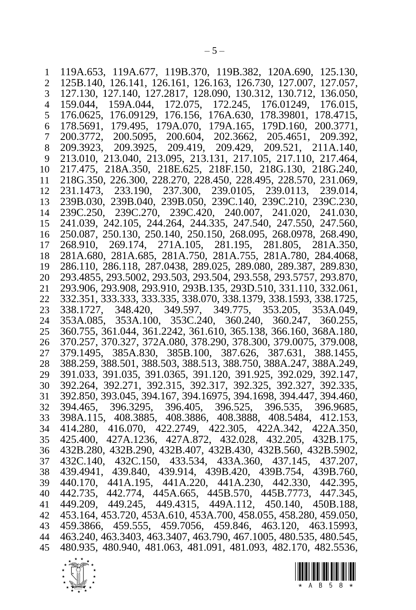119A.653, 119A.677, 119B.370, 119B.382, 120A.690, 125.130, 125B.140, 126.141, 126.161, 126.163, 126.730, 127.007, 127.057, 127.130, 127.140, 127.2817, 128.090, 130.312, 130.712, 136.050, 159.044, 159A.044, 172.075, 172.245, 176.01249, 176.015, 176.0625, 176.09129, 176.156, 176A.630, 178.39801, 178.4715, 178.5691, 179.495, 179A.070, 179A.165, 179D.160, 200.3771, 200.3772, 200.5095, 200.604, 202.3662, 205.4651, 209.392, 209.3923, 209.3925, 209.419, 209.429, 209.521, 211A.140, 213.010, 213.040, 213.095, 213.131, 217.105, 217.110, 217.464, 217.475, 218A.350, 218E.625, 218F.150, 218G.130, 218G.240, 218G.350, 226.300, 228.270, 228.450, 228.495, 228.570, 231.069, 231.1473, 233.190, 237.300, 239.0105, 239.0113, 239.014, 239B.030, 239B.040, 239B.050, 239C.140, 239C.210, 239C.230, 239C.250, 239C.270, 239C.420, 240.007, 241.020, 241.030, 241.039, 242.105, 244.264, 244.335, 247.540, 247.550, 247.560, 250.087, 250.130, 250.140, 250.150, 268.095, 268.0978, 268.490, 268.910, 269.174, 271A.105, 281.195, 281.805, 281A.350, 281A.680, 281A.685, 281A.750, 281A.755, 281A.780, 284.4068, 286.110, 286.118, 287.0438, 289.025, 289.080, 289.387, 289.830, 293.4855, 293.5002, 293.503, 293.504, 293.558, 293.5757, 293.870, 293.906, 293.908, 293.910, 293B.135, 293D.510, 331.110, 332.061, 332.351, 333.333, 333.335, 338.070, 338.1379, 338.1593, 338.1725, 338.1727, 348.420, 349.597, 349.775, 353.205, 353A.049, 353A.085, 353A.100, 353C.240, 360.240, 360.247, 360.255, 360.755, 361.044, 361.2242, 361.610, 365.138, 366.160, 368A.180, 370.257, 370.327, 372A.080, 378.290, 378.300, 379.0075, 379.008, 379.1495, 385A.830, 385B.100, 387.626, 387.631, 388.1455, 388.259, 388.501, 388.503, 388.513, 388.750, 388A.247, 388A.249, 391.033, 391.035, 391.0365, 391.120, 391.925, 392.029, 392.147, 392.264, 392.271, 392.315, 392.317, 392.325, 392.327, 392.335, 392.850, 393.045, 394.167, 394.16975, 394.1698, 394.447, 394.460, 394.465, 396.3295, 396.405, 396.525, 396.535, 396.9685, 398A.115, 408.3885, 408.3886, 408.3888, 408.5484, 412.153, 414.280, 416.070, 422.2749, 422.305, 422A.342, 422A.350, 425.400, 427A.1236, 427A.872, 432.028, 432.205, 432B.175, 432B.280, 432B.290, 432B.407, 432B.430, 432B.560, 432B.5902, 432C.140, 432C.150, 433.534, 433A.360, 437.145, 437.207, 439.4941, 439.840, 439.914, 439B.420, 439B.754, 439B.760, 440.170, 441A.195, 441A.220, 441A.230, 442.330, 442.395, 442.735, 442.774, 445A.665, 445B.570, 445B.7773, 447.345, 449.209, 449.245, 449.4315, 449A.112, 450.140, 450B.188, 453.164, 453.720, 453A.610, 453A.700, 458.055, 458.280, 459.050, 459.3866, 459.555, 459.7056, 459.846, 463.120, 463.15993, 463.240, 463.3403, 463.3407, 463.790, 467.1005, 480.535, 480.545, 480.935, 480.940, 481.063, 481.091, 481.093, 482.170, 482.5536,

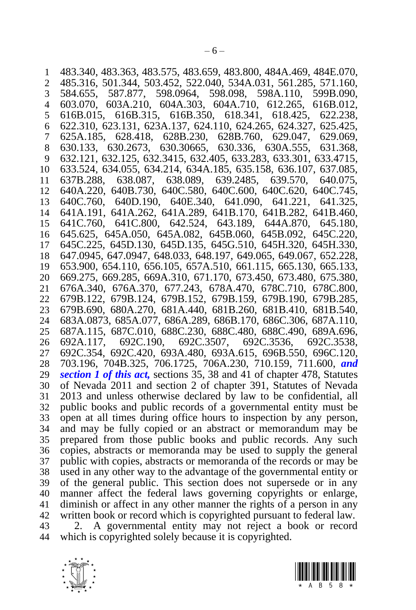483.340, 483.363, 483.575, 483.659, 483.800, 484A.469, 484E.070, 485.316, 501.344, 503.452, 522.040, 534A.031, 561.285, 571.160, 584.655, 587.877, 598.0964, 598.098, 598A.110, 599B.090, 603.070, 603A.210, 604A.303, 604A.710, 612.265, 616B.012, 616B.015, 616B.315, 616B.350, 618.341, 618.425, 622.238, 622.310, 623.131, 623A.137, 624.110, 624.265, 624.327, 625.425, 625A.185, 628.418, 628B.230, 628B.760, 629.047, 629.069, 630.133, 630.2673, 630.30665, 630.336, 630A.555, 631.368, 632.121, 632.125, 632.3415, 632.405, 633.283, 633.301, 633.4715, 633.524, 634.055, 634.214, 634A.185, 635.158, 636.107, 637.085, 637B.288, 638.087, 638.089, 639.2485, 639.570, 640.075, 640A.220, 640B.730, 640C.580, 640C.600, 640C.620, 640C.745, 640C.760, 640D.190, 640E.340, 641.090, 641.221, 641.325, 641A.191, 641A.262, 641A.289, 641B.170, 641B.282, 641B.460, 641C.760, 641C.800, 642.524, 643.189, 644A.870, 645.180, 645.625, 645A.050, 645A.082, 645B.060, 645B.092, 645C.220, 645C.225, 645D.130, 645D.135, 645G.510, 645H.320, 645H.330, 647.0945, 647.0947, 648.033, 648.197, 649.065, 649.067, 652.228, 653.900, 654.110, 656.105, 657A.510, 661.115, 665.130, 665.133, 669.275, 669.285, 669A.310, 671.170, 673.450, 673.480, 675.380, 676A.340, 676A.370, 677.243, 678A.470, 678C.710, 678C.800, 679B.122, 679B.124, 679B.152, 679B.159, 679B.190, 679B.285, 679B.690, 680A.270, 681A.440, 681B.260, 681B.410, 681B.540, 683A.0873, 685A.077, 686A.289, 686B.170, 686C.306, 687A.110, 687A.115, 687C.010, 688C.230, 688C.480, 688C.490, 689A.696, 692A.117, 692C.190, 692C.3507, 692C.3536, 692C.3538, 692C.354, 692C.420, 693A.480, 693A.615, 696B.550, 696C.120, 703.196, 704B.325, 706.1725, 706A.230, 710.159, 711.600, *and section [1](#page-1-0) of this act,* sections 35, 38 and 41 of chapter 478, Statutes of Nevada 2011 and section 2 of chapter 391, Statutes of Nevada 2013 and unless otherwise declared by law to be confidential, all public books and public records of a governmental entity must be open at all times during office hours to inspection by any person, and may be fully copied or an abstract or memorandum may be prepared from those public books and public records. Any such copies, abstracts or memoranda may be used to supply the general public with copies, abstracts or memoranda of the records or may be used in any other way to the advantage of the governmental entity or of the general public. This section does not supersede or in any manner affect the federal laws governing copyrights or enlarge, diminish or affect in any other manner the rights of a person in any written book or record which is copyrighted pursuant to federal law.

 2. A governmental entity may not reject a book or record which is copyrighted solely because it is copyrighted.